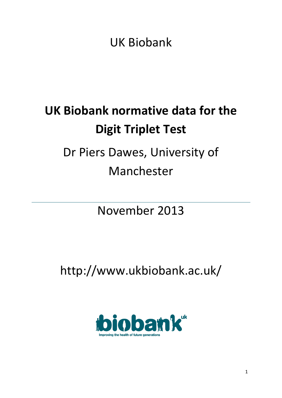UK Biobank

# **UK Biobank normative data for the Digit Triplet Test** Dr Piers Dawes, University of

### Manchester

### November 2013

## http://www.ukbiobank.ac.uk/

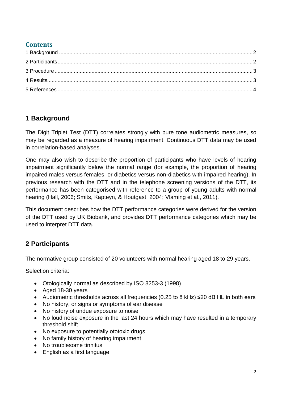#### **Contents**

#### <span id="page-1-0"></span>**1 Background**

The Digit Triplet Test (DTT) correlates strongly with pure tone audiometric measures, so may be regarded as a measure of hearing impairment. Continuous DTT data may be used in correlation-based analyses.

One may also wish to describe the proportion of participants who have levels of hearing impairment significantly below the normal range (for example, the proportion of hearing impaired males versus females, or diabetics versus non-diabetics with impaired hearing). In previous research with the DTT and in the telephone screening versions of the DTT, its performance has been categorised with reference to a group of young adults with normal hearing [\(Hall, 2006;](#page-3-1) [Smits, Kapteyn, & Houtgast, 2004;](#page-3-2) [Vlaming et al., 2011\)](#page-3-3).

This document describes how the DTT performance categories were derived for the version of the DTT used by UK Biobank, and provides DTT performance categories which may be used to interpret DTT data.

#### <span id="page-1-1"></span>**2 Participants**

The normative group consisted of 20 volunteers with normal hearing aged 18 to 29 years.

Selection criteria:

- Otologically normal as described by ISO 8253-3 (1998)
- Aged 18-30 years
- Audiometric thresholds across all frequencies (0.25 to 8 kHz) ≤20 dB HL in both ears
- No history, or signs or symptoms of ear disease
- No history of undue exposure to noise
- No loud noise exposure in the last 24 hours which may have resulted in a temporary threshold shift
- No exposure to potentially ototoxic drugs
- No family history of hearing impairment
- No troublesome tinnitus
- English as a first language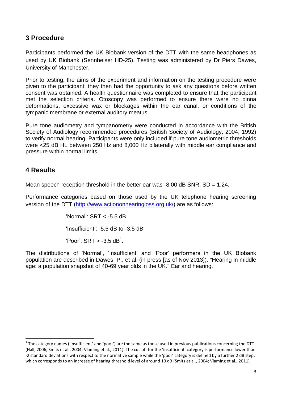#### <span id="page-2-0"></span>**3 Procedure**

Participants performed the UK Biobank version of the DTT with the same headphones as used by UK Biobank (Sennheiser HD-25). Testing was administered by Dr Piers Dawes, University of Manchester.

Prior to testing, the aims of the experiment and information on the testing procedure were given to the participant; they then had the opportunity to ask any questions before written consent was obtained. A health questionnaire was completed to ensure that the participant met the selection criteria. Otoscopy was performed to ensure there were no pinna deformations, excessive wax or blockages within the ear canal, or conditions of the tympanic membrane or external auditory meatus.

Pure tone audiometry and tympanometry were conducted in accordance with the British Society of Audiology recommended procedures (British Society of Audiology, 2004; 1992) to verify normal hearing. Participants were only included if pure tone audiometric thresholds were <25 dB HL between 250 Hz and 8,000 Hz bilaterally with middle ear compliance and pressure within normal limits.

#### <span id="page-2-1"></span>**4 Results**

**.** 

Mean speech reception threshold in the better ear was  $-8.00$  dB SNR, SD = 1.24.

Performance categories based on those used by the UK telephone hearing screening version of the DTT [\(http://www.actiononhearingloss.org.uk/\)](http://www.actiononhearingloss.org.uk/) are as follows:

> 'Normal': SRT < -5.5 dB 'Insufficient': -5.5 dB to -3.5 dB 'Poor':  $SRT > -3.5$  dB<sup>1</sup>.

The distributions of 'Normal', 'Insufficient' and 'Poor' performers in the UK Biobank population are described in Dawes, P., et al. (in press [as of Nov 2013]). "Hearing in middle age: a population snapshot of 40-69 year olds in the UK." Ear and hearing.

 $1$  The category names ('insufficient' and 'poor') are the same as those used in previous publications concerning the DTT [\(Hall, 2006;](#page-3-1) [Smits et al., 2004;](#page-3-2) [Vlaming et al., 2011\)](#page-3-3). The cut-off for the 'insufficient' category is performance lower than -2 standard deviations with respect to the normative sample while the 'poor' category is defined by a further 2 dB step, which corresponds to an increase of hearing threshold level of around 10 dB [\(Smits et al., 2004;](#page-3-2) [Vlaming et al., 2011\)](#page-3-3).